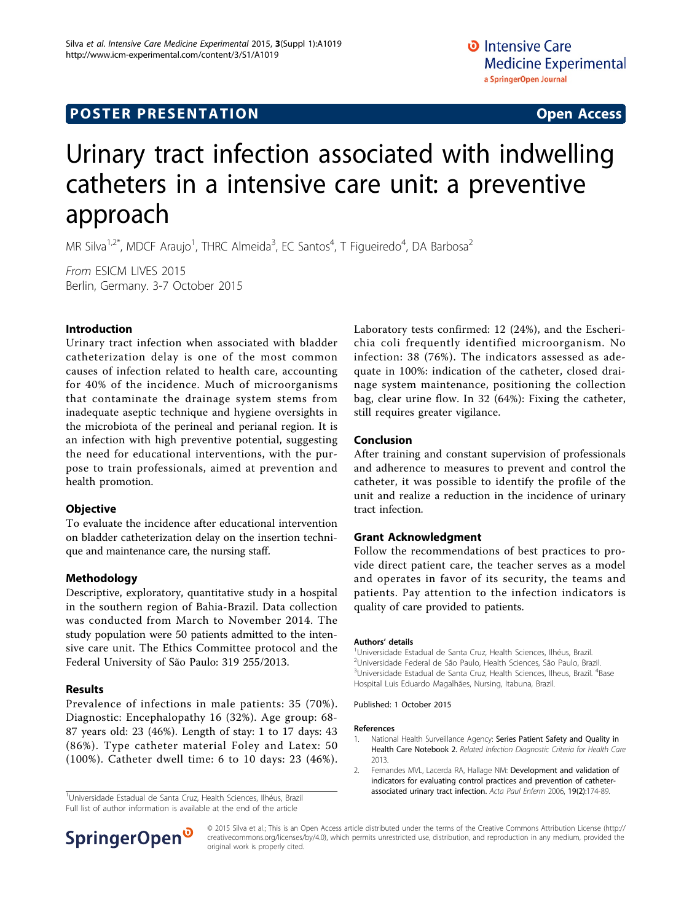# Urinary tract infection associated with indwelling catheters in a intensive care unit: a preventive approach

MR Silva<sup>1,2\*</sup>, MDCF Araujo<sup>1</sup>, THRC Almeida<sup>3</sup>, EC Santos<sup>4</sup>, T Figueiredo<sup>4</sup>, DA Barbosa<sup>2</sup>

From ESICM LIVES 2015 Berlin, Germany. 3-7 October 2015

## Introduction

Urinary tract infection when associated with bladder catheterization delay is one of the most common causes of infection related to health care, accounting for 40% of the incidence. Much of microorganisms that contaminate the drainage system stems from inadequate aseptic technique and hygiene oversights in the microbiota of the perineal and perianal region. It is an infection with high preventive potential, suggesting the need for educational interventions, with the purpose to train professionals, aimed at prevention and health promotion.

#### **Objective**

To evaluate the incidence after educational intervention on bladder catheterization delay on the insertion technique and maintenance care, the nursing staff.

#### Methodology

Descriptive, exploratory, quantitative study in a hospital in the southern region of Bahia-Brazil. Data collection was conducted from March to November 2014. The study population were 50 patients admitted to the intensive care unit. The Ethics Committee protocol and the Federal University of São Paulo: 319 255/2013.

#### Results

Prevalence of infections in male patients: 35 (70%). Diagnostic: Encephalopathy 16 (32%). Age group: 68- 87 years old: 23 (46%). Length of stay: 1 to 17 days: 43 (86%). Type catheter material Foley and Latex: 50 (100%). Catheter dwell time: 6 to 10 days: 23 (46%).

<sup>1</sup>Universidade Estadual de Santa Cruz, Health Sciences, Ilhéus, Brazil Full list of author information is available at the end of the article

Laboratory tests confirmed: 12 (24%), and the Escherichia coli frequently identified microorganism. No infection: 38 (76%). The indicators assessed as adequate in 100%: indication of the catheter, closed drainage system maintenance, positioning the collection bag, clear urine flow. In 32 (64%): Fixing the catheter, still requires greater vigilance.

## Conclusion

After training and constant supervision of professionals and adherence to measures to prevent and control the catheter, it was possible to identify the profile of the unit and realize a reduction in the incidence of urinary tract infection.

#### Grant Acknowledgment

Follow the recommendations of best practices to provide direct patient care, the teacher serves as a model and operates in favor of its security, the teams and patients. Pay attention to the infection indicators is quality of care provided to patients.

#### Authors' details <sup>1</sup>

<sup>1</sup>Universidade Estadual de Santa Cruz, Health Sciences, Ilhéus, Brazil. <sup>2</sup>Universidade Federal de São Paulo, Health Sciences, São Paulo, Brazil <sup>3</sup>Universidade Estadual de Santa Cruz, Health Sciences, Ilheus, Brazil. <sup>4</sup>Base Hospital Luis Eduardo Magalhães, Nursing, Itabuna, Brazil.

Published: 1 October 2015

#### References

- 1. National Health Surveillance Agency: Series Patient Safety and Quality in Health Care Notebook 2. Related Infection Diagnostic Criteria for Health Care 2013.
- 2. Fernandes MVL, Lacerda RA, Hallage NM: Development and validation of indicators for evaluating control practices and prevention of catheterassociated urinary tract infection. Acta Paul Enferm 2006, 19(2):174-89.



© 2015 Silva et al.; This is an Open Access article distributed under the terms of the Creative Commons Attribution License [\(http://](http://creativecommons.org/licenses/by/4.0) [creativecommons.org/licenses/by/4.0](http://creativecommons.org/licenses/by/4.0)), which permits unrestricted use, distribution, and reproduction in any medium, provided the original work is properly cited.